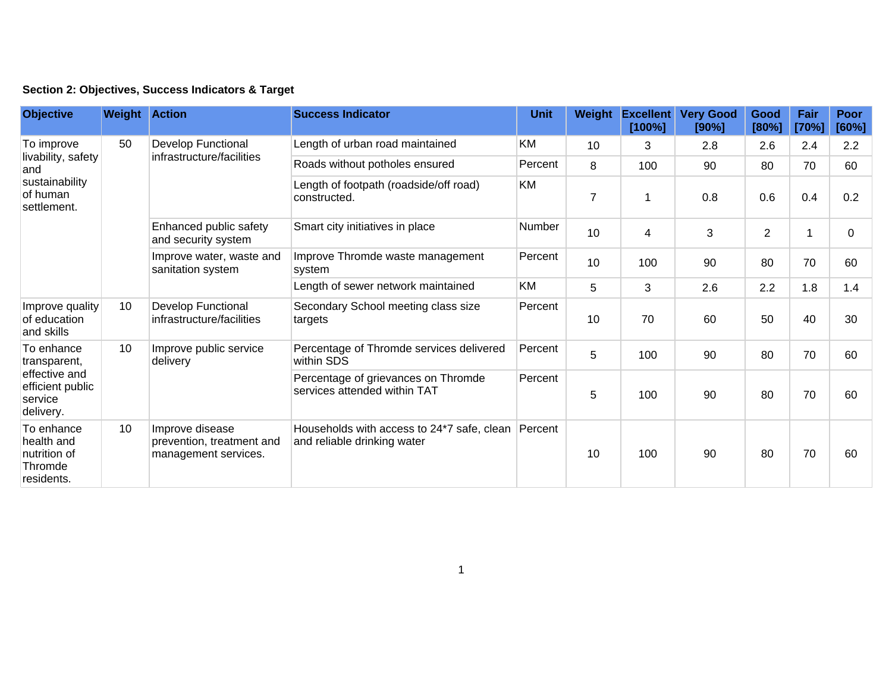| Section 2: Objectives, Success Indicators & Target |  |  |  |  |  |  |
|----------------------------------------------------|--|--|--|--|--|--|
|----------------------------------------------------|--|--|--|--|--|--|

| <b>Objective</b>                                                                        | <b>Weight Action</b> |                                                                      | <b>Success Indicator</b>                                                  | <b>Unit</b> | Weight         | <b>Excellent</b><br>[100%] | <b>Very Good</b><br>[90%] | Good<br>[80%]  | Fair<br>[70%] | Poor<br>[60%] |
|-----------------------------------------------------------------------------------------|----------------------|----------------------------------------------------------------------|---------------------------------------------------------------------------|-------------|----------------|----------------------------|---------------------------|----------------|---------------|---------------|
| To improve<br>livability, safety<br>and<br>sustainability<br>of human<br>settlement.    | 50                   | <b>Develop Functional</b><br>infrastructure/facilities               | Length of urban road maintained                                           | KM          | 10             | 3                          | 2.8                       | 2.6            | 2.4           | 2.2           |
|                                                                                         |                      |                                                                      | Roads without potholes ensured                                            | Percent     | 8              | 100                        | 90                        | 80             | 70            | 60            |
|                                                                                         |                      |                                                                      | Length of footpath (roadside/off road)<br>constructed.                    | KM          | $\overline{7}$ | 1                          | 0.8                       | 0.6            | 0.4           | 0.2           |
|                                                                                         |                      | Enhanced public safety<br>and security system                        | Smart city initiatives in place                                           | Number      | 10             | 4                          | 3                         | $\overline{2}$ | 1             | 0             |
|                                                                                         |                      | Improve water, waste and<br>sanitation system                        | Improve Thromde waste management<br>system                                | Percent     | 10             | 100                        | 90                        | 80             | 70            | 60            |
|                                                                                         |                      |                                                                      | Length of sewer network maintained                                        | KM          | 5              | 3                          | 2.6                       | 2.2            | 1.8           | 1.4           |
| Improve quality<br>of education<br>and skills                                           | 10                   | <b>Develop Functional</b><br>infrastructure/facilities               | Secondary School meeting class size<br>targets                            | Percent     | 10             | 70                         | 60                        | 50             | 40            | 30            |
| To enhance<br>transparent,<br>effective and<br>efficient public<br>service<br>delivery. | 10                   | Improve public service<br>delivery                                   | Percentage of Thromde services delivered<br>within SDS                    | Percent     | 5              | 100                        | 90                        | 80             | 70            | 60            |
|                                                                                         |                      |                                                                      | Percentage of grievances on Thromde<br>services attended within TAT       | Percent     | 5              | 100                        | 90                        | 80             | 70            | 60            |
| To enhance<br>health and<br>nutrition of<br>Thromde<br>residents.                       | 10                   | Improve disease<br>prevention, treatment and<br>management services. | Households with access to 24*7 safe, clean<br>and reliable drinking water | Percent     | 10             | 100                        | 90                        | 80             | 70            | 60            |